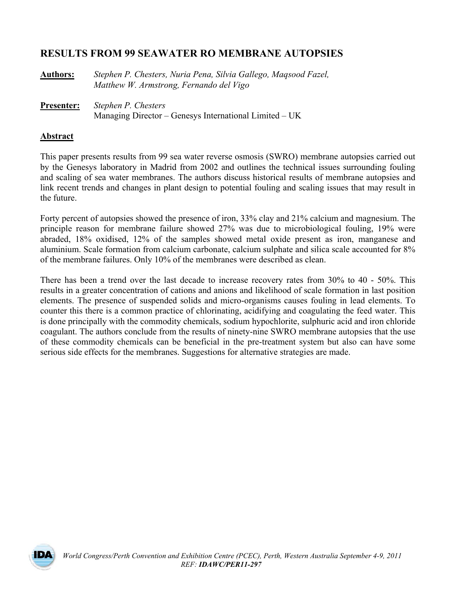# **RESULTS FROM 99 SEAWATER RO MEMBRANE AUTOPSIES**

| <b>Authors:</b> | Stephen P. Chesters, Nuria Pena, Silvia Gallego, Magsood Fazel, |
|-----------------|-----------------------------------------------------------------|
|                 | Matthew W. Armstrong, Fernando del Vigo                         |

**Presenter:** *Stephen P. Chesters* Managing Director – Genesys International Limited – UK

### **Abstract**

This paper presents results from 99 sea water reverse osmosis (SWRO) membrane autopsies carried out by the Genesys laboratory in Madrid from 2002 and outlines the technical issues surrounding fouling and scaling of sea water membranes. The authors discuss historical results of membrane autopsies and link recent trends and changes in plant design to potential fouling and scaling issues that may result in the future.

Forty percent of autopsies showed the presence of iron, 33% clay and 21% calcium and magnesium. The principle reason for membrane failure showed 27% was due to microbiological fouling, 19% were abraded, 18% oxidised, 12% of the samples showed metal oxide present as iron, manganese and aluminium. Scale formation from calcium carbonate, calcium sulphate and silica scale accounted for 8% of the membrane failures. Only 10% of the membranes were described as clean.

There has been a trend over the last decade to increase recovery rates from 30% to 40 - 50%. This results in a greater concentration of cations and anions and likelihood of scale formation in last position elements. The presence of suspended solids and micro-organisms causes fouling in lead elements. To counter this there is a common practice of chlorinating, acidifying and coagulating the feed water. This is done principally with the commodity chemicals, sodium hypochlorite, sulphuric acid and iron chloride coagulant. The authors conclude from the results of ninety-nine SWRO membrane autopsies that the use of these commodity chemicals can be beneficial in the pre-treatment system but also can have some serious side effects for the membranes. Suggestions for alternative strategies are made.

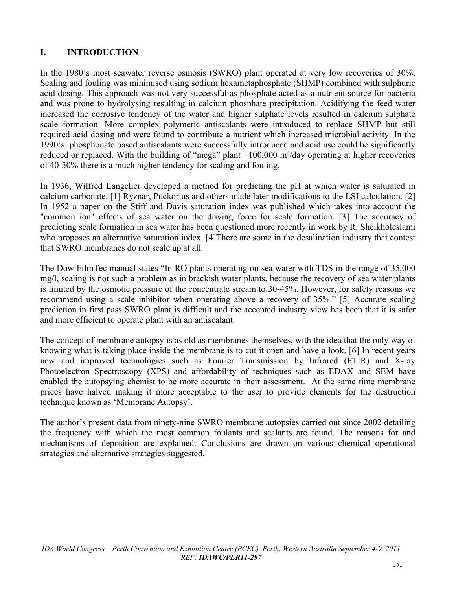# **I. INTRODUCTION**

In the 1980's most seawater reverse osmosis (SWRO) plant operated at very low recoveries of 30%. Scaling and fouling was minimised using sodium hexametaphosphate (SHMP) combined with sulphuric acid dosing. This approach was not very successful as phosphate acted as a nutrient source for bacteria and was prone to hydrolysing resulting in calcium phosphate precipitation. Acidifying the feed water increased the corrosive tendency of the water and higher sulphate levels resulted in calcium sulphate scale formation. More complex polymeric antiscalants were introduced to replace SHMP but still required acid dosing and were found to contribute a nutrient which increased microbial activity. In the 1990's phosphonate based antiscalants were successfully introduced and acid use could be significantly reduced or replaced. With the building of "mega" plant  $+100,000$  m<sup>3</sup>/day operating at higher recoveries of 40-50% there is a much higher tendency for scaling and fouling.

In 1936, Wilfred Langelier developed a method for predicting the pH at which water is saturated in calcium carbonate. [1] Ryznar, Puckorius and others made later modifications to the LSI calculation. [2] In 1952 a paper on the Stiff and Davis saturation index was published which takes into account the "common ion" effects of sea water on the driving force for scale formation. [3] The accuracy of predicting scale formation in sea water has been questioned more recently in work by R. Sheikholeslami who proposes an alternative saturation index. [4]There are some in the desalination industry that contest that SWRO membranes do not scale up at all.

The Dow FilmTec manual states "In RO plants operating on sea water with TDS in the range of 35,000 mg/l, scaling is not such a problem as in brackish water plants, because the recovery of sea water plants is limited by the osmotic pressure of the concentrate stream to 30-45%. However, for safety reasons we recommend using a scale inhibitor when operating above a recovery of 35%." [5] Accurate scaling prediction in first pass SWRO plant is difficult and the accepted industry view has been that it is safer and more efficient to operate plant with an antiscalant.

The concept of membrane autopsy is as old as membranes themselves, with the idea that the only way of knowing what is taking place inside the membrane is to cut it open and have a look. [6] In recent years new and improved technologies such as Fourier Transmission by Infrared (FTIR) and X-ray Photoelectron Spectroscopy (XPS) and affordability of techniques such as EDAX and SEM have enabled the autopsying chemist to be more accurate in their assessment. At the same time membrane prices have halved making it more acceptable to the user to provide elements for the destruction technique known as 'Membrane Autopsy'.

The author's present data from ninety-nine SWRO membrane autopsies carried out since 2002 detailing the frequency with which the most common foulants and scalants are found. The reasons for and mechanisms of deposition are explained. Conclusions are drawn on various chemical operational strategies and alternative strategies suggested.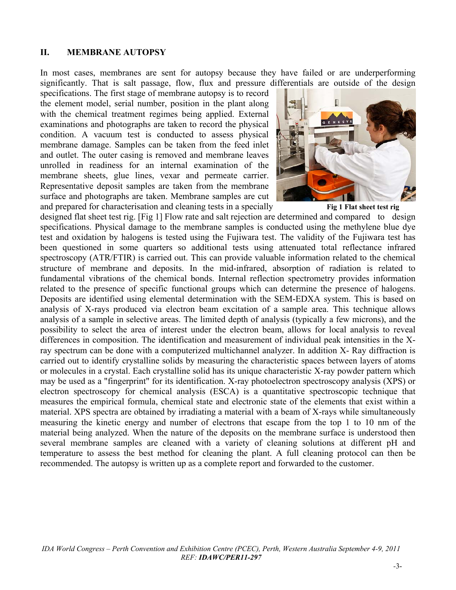### **II. MEMBRANE AUTOPSY**

In most cases, membranes are sent for autopsy because they have failed or are underperforming significantly. That is salt passage, flow, flux and pressure differentials are outside of the design

specifications. The first stage of membrane autopsy is to record the element model, serial number, position in the plant along with the chemical treatment regimes being applied. External examinations and photographs are taken to record the physical condition. A vacuum test is conducted to assess physical membrane damage. Samples can be taken from the feed inlet and outlet. The outer casing is removed and membrane leaves unrolled in readiness for an internal examination of the membrane sheets, glue lines, vexar and permeate carrier. Representative deposit samples are taken from the membrane surface and photographs are taken. Membrane samples are cut and prepared for characterisation and cleaning tests in a specially **Fig 1 Flat sheet test rig** 



designed flat sheet test rig. [Fig 1] Flow rate and salt rejection are determined and compared to design specifications. Physical damage to the membrane samples is conducted using the methylene blue dye test and oxidation by halogens is tested using the Fujiwara test. The validity of the Fujiwara test has been questioned in some quarters so additional tests using attenuated total reflectance infrared spectroscopy (ATR/FTIR) is carried out. This can provide valuable information related to the chemical structure of membrane and deposits. In the mid-infrared, absorption of radiation is related to fundamental vibrations of the chemical bonds. Internal reflection spectrometry provides information related to the presence of specific functional groups which can determine the presence of halogens. Deposits are identified using elemental determination with the SEM-EDXA system. This is based on analysis of X-rays produced via electron beam excitation of a sample area. This technique allows analysis of a sample in selective areas. The limited depth of analysis (typically a few microns), and the possibility to select the area of interest under the electron beam, allows for local analysis to reveal differences in composition. The identification and measurement of individual peak intensities in the Xray spectrum can be done with a computerized multichannel analyzer. In addition X- Ray diffraction is carried out to identify crystalline solids by measuring the characteristic spaces between layers of atoms or molecules in a crystal. Each crystalline solid has its unique characteristic X-ray powder pattern which may be used as a "fingerprint" for its identification. X-ray photoelectron spectroscopy analysis (XPS) or electron spectroscopy for chemical analysis (ESCA) is a quantitative spectroscopic technique that measures the empirical formula, chemical state and electronic state of the elements that exist within a material. XPS spectra are obtained by irradiating a material with a beam of X-rays while simultaneously measuring the kinetic energy and number of electrons that escape from the top 1 to 10 nm of the material being analyzed. When the nature of the deposits on the membrane surface is understood then several membrane samples are cleaned with a variety of cleaning solutions at different pH and temperature to assess the best method for cleaning the plant. A full cleaning protocol can then be recommended. The autopsy is written up as a complete report and forwarded to the customer.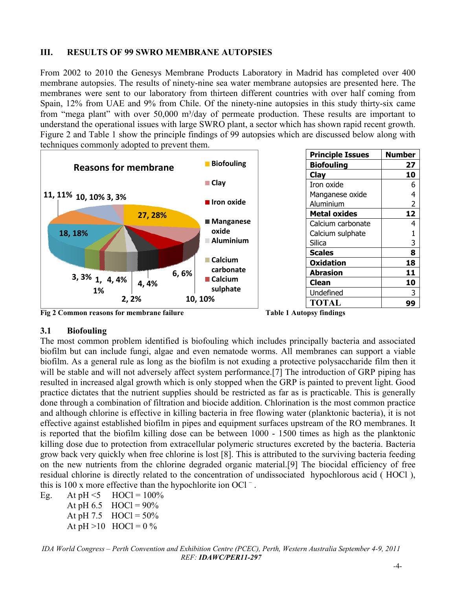## **III. RESULTS OF 99 SWRO MEMBRANE AUTOPSIES**

From 2002 to 2010 the Genesys Membrane Products Laboratory in Madrid has completed over 400 membrane autopsies. The results of ninety-nine sea water membrane autopsies are presented here. The membranes were sent to our laboratory from thirteen different countries with over half coming from Spain, 12% from UAE and 9% from Chile. Of the ninety-nine autopsies in this study thirty-six came from "mega plant" with over 50,000 m<sup>3</sup>/day of permeate production. These results are important to understand the operational issues with large SWRO plant, a sector which has shown rapid recent growth. Figure 2 and Table 1 show the principle findings of 99 autopsies which are discussed below along with techniques commonly adopted to prevent them.



**Fig 2 Common reasons for membrane failure Table 1 Autopsy findings** 

## **3.1 Biofouling**

The most common problem identified is biofouling which includes principally bacteria and associated biofilm but can include fungi, algae and even nematode worms. All membranes can support a viable biofilm. As a general rule as long as the biofilm is not exuding a protective polysaccharide film then it will be stable and will not adversely affect system performance.<sup>[7]</sup> The introduction of GRP piping has resulted in increased algal growth which is only stopped when the GRP is painted to prevent light. Good practice dictates that the nutrient supplies should be restricted as far as is practicable. This is generally done through a combination of filtration and biocide addition. Chlorination is the most common practice and although chlorine is effective in killing bacteria in free flowing water (planktonic bacteria), it is not effective against established biofilm in pipes and equipment surfaces upstream of the RO membranes. It is reported that the biofilm killing dose can be between 1000 - 1500 times as high as the planktonic killing dose due to protection from extracellular polymeric structures excreted by the bacteria. Bacteria grow back very quickly when free chlorine is lost [8]. This is attributed to the surviving bacteria feeding on the new nutrients from the chlorine degraded organic material.[9] The biocidal efficiency of free residual chlorine is directly related to the concentration of undissociated hypochlorous acid ( HOCl ), this is 100 x more effective than the hypochlorite ion OCl<sup> $-$ </sup>.

Eg. At pH  $\le$ 5 HOCl = 100%

At pH  $6.5$  HOCl = 90% At pH 7.5  $HOC = 50\%$ 

At  $pH > 10$  HOCl = 0 %

*IDA World Congress – Perth Convention and Exhibition Centre (PCEC), Perth, Western Australia September 4-9, 2011 REF: IDAWC/PER11-297*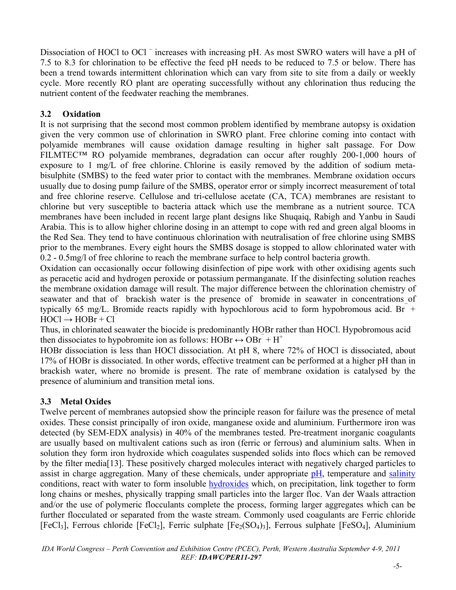Dissociation of HOCl to OCl<sup>-</sup> increases with increasing pH. As most SWRO waters will have a pH of 7.5 to 8.3 for chlorination to be effective the feed pH needs to be reduced to 7.5 or below. There has been a trend towards intermittent chlorination which can vary from site to site from a daily or weekly cycle. More recently RO plant are operating successfully without any chlorination thus reducing the nutrient content of the feedwater reaching the membranes.

# **3.2 Oxidation**

It is not surprising that the second most common problem identified by membrane autopsy is oxidation given the very common use of chlorination in SWRO plant. Free chlorine coming into contact with polyamide membranes will cause oxidation damage resulting in higher salt passage. For Dow FILMTEC™ RO polyamide membranes, degradation can occur after roughly 200-1,000 hours of exposure to 1 mg/L of free chlorine. Chlorine is easily removed by the addition of sodium metabisulphite (SMBS) to the feed water prior to contact with the membranes. Membrane oxidation occurs usually due to dosing pump failure of the SMBS, operator error or simply incorrect measurement of total and free chlorine reserve. Cellulose and tri-cellulose acetate (CA, TCA) membranes are resistant to chlorine but very susceptible to bacteria attack which use the membrane as a nutrient source. TCA membranes have been included in recent large plant designs like Shuqaiq, Rabigh and Yanbu in Saudi Arabia. This is to allow higher chlorine dosing in an attempt to cope with red and green algal blooms in the Red Sea. They tend to have continuous chlorination with neutralisation of free chlorine using SMBS prior to the membranes. Every eight hours the SMBS dosage is stopped to allow chlorinated water with 0.2 - 0.5mg/l of free chlorine to reach the membrane surface to help control bacteria growth.

Oxidation can occasionally occur following disinfection of pipe work with other oxidising agents such as peracetic acid and hydrogen peroxide or potassium permanganate. If the disinfecting solution reaches the membrane oxidation damage will result. The major difference between the chlorination chemistry of seawater and that of brackish water is the presence of bromide in seawater in concentrations of typically 65 mg/L. Bromide reacts rapidly with hypochlorous acid to form hypobromous acid. Br  $+$  $HOCl \rightarrow HOBr + Cl$ 

Thus, in chlorinated seawater the biocide is predominantly HOBr rather than HOCl. Hypobromous acid then dissociates to hypobromite ion as follows: HOBr  $\leftrightarrow$  OBr  $+$  H<sup>+</sup>

HOBr dissociation is less than HOCl dissociation. At pH 8, where 72% of HOCl is dissociated, about 17% of HOBr is dissociated. In other words, effective treatment can be performed at a higher pH than in brackish water, where no bromide is present. The rate of membrane oxidation is catalysed by the presence of aluminium and transition metal ions.

# **3.3 Metal Oxides**

Twelve percent of membranes autopsied show the principle reason for failure was the presence of metal oxides. These consist principally of iron oxide, manganese oxide and aluminium. Furthermore iron was detected (by SEM-EDX analysis) in 40% of the membranes tested. Pre-treatment inorganic coagulants are usually based on multivalent cations such as iron (ferric or ferrous) and aluminium salts. When in solution they form iron hydroxide which coagulates suspended solids into flocs which can be removed by the filter media[13]. These positively charged molecules interact with negatively charged particles to assist in charge aggregation. Many of these chemicals, under appropriate pH, temperature and salinity conditions, react with water to form insoluble hydroxides which, on precipitation, link together to form long chains or meshes, physically trapping small particles into the larger floc. Van der Waals attraction and/or the use of polymeric flocculants complete the process, forming larger aggregates which can be further flocculated or separated from the waste stream. Commonly used coagulants are Ferric chloride  $[FeCl<sub>3</sub>]$ , Ferrous chloride  $[FeCl<sub>2</sub>]$ , Ferric sulphate  $[Fe<sub>2</sub>(SO<sub>4</sub>)<sub>3</sub>]$ , Ferrous sulphate  $[FeSO<sub>4</sub>]$ , Aluminium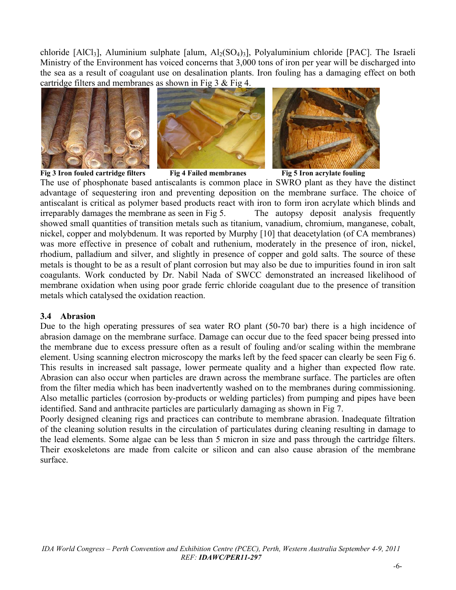chloride  $[AICI_3]$ , Aluminium sulphate  $[a\,lum, AI_2(SO_4)_3]$ , Polyaluminium chloride  $[PAC]$ . The Israeli Ministry of the Environment has voiced concerns that 3,000 tons of iron per year will be discharged into the sea as a result of coagulant use on desalination plants. Iron fouling has a damaging effect on both cartridge filters and membranes as shown in Fig  $3 \&$  Fig 4.





Fig 3 Iron fouled cartridge filters **Fig 4 Failed membranes** Fig 5 Iron acrylate fouling



The use of phosphonate based antiscalants is common place in SWRO plant as they have the distinct advantage of sequestering iron and preventing deposition on the membrane surface. The choice of antiscalant is critical as polymer based products react with iron to form iron acrylate which blinds and irreparably damages the membrane as seen in Fig 5. The autopsy deposit analysis frequently showed small quantities of transition metals such as titanium, vanadium, chromium, manganese, cobalt, nickel, copper and molybdenum. It was reported by Murphy [10] that deacetylation (of CA membranes) was more effective in presence of cobalt and ruthenium, moderately in the presence of iron, nickel, rhodium, palladium and silver, and slightly in presence of copper and gold salts. The source of these metals is thought to be as a result of plant corrosion but may also be due to impurities found in iron salt coagulants. Work conducted by Dr. Nabil Nada of SWCC demonstrated an increased likelihood of membrane oxidation when using poor grade ferric chloride coagulant due to the presence of transition metals which catalysed the oxidation reaction.

### **3.4 Abrasion**

Due to the high operating pressures of sea water RO plant (50-70 bar) there is a high incidence of abrasion damage on the membrane surface. Damage can occur due to the feed spacer being pressed into the membrane due to excess pressure often as a result of fouling and/or scaling within the membrane element. Using scanning electron microscopy the marks left by the feed spacer can clearly be seen Fig 6. This results in increased salt passage, lower permeate quality and a higher than expected flow rate. Abrasion can also occur when particles are drawn across the membrane surface. The particles are often from the filter media which has been inadvertently washed on to the membranes during commissioning. Also metallic particles (corrosion by-products or welding particles) from pumping and pipes have been identified. Sand and anthracite particles are particularly damaging as shown in Fig 7.

Poorly designed cleaning rigs and practices can contribute to membrane abrasion. Inadequate filtration of the cleaning solution results in the circulation of particulates during cleaning resulting in damage to the lead elements. Some algae can be less than 5 micron in size and pass through the cartridge filters. Their exoskeletons are made from calcite or silicon and can also cause abrasion of the membrane surface.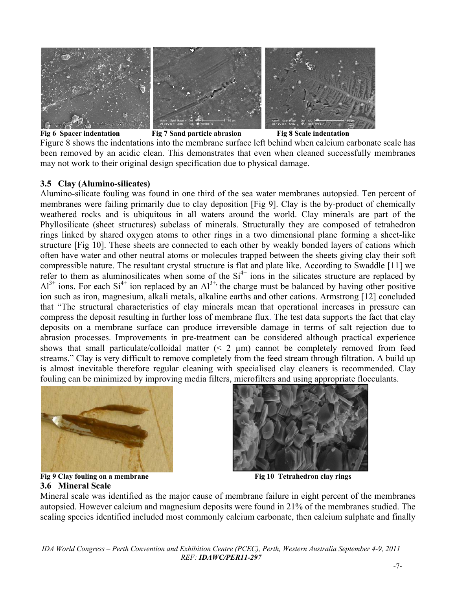

**Fig 6 Spacer indentation** Fig 7 Sand particle abrasion Fig 8 Scale indentation Figure 8 shows the indentations into the membrane surface left behind when calcium carbonate scale has been removed by an acidic clean. This demonstrates that even when cleaned successfully membranes may not work to their original design specification due to physical damage.

### **3.5 Clay (Alumino-silicates)**

Alumino-silicate fouling was found in one third of the sea water membranes autopsied. Ten percent of membranes were failing primarily due to clay deposition [Fig 9]. Clay is the by-product of chemically weathered rocks and is ubiquitous in all waters around the world. Clay minerals are part of the Phyllosilicate (sheet structures) subclass of minerals. Structurally they are composed of tetrahedron rings linked by shared oxygen atoms to other rings in a two dimensional plane forming a sheet-like structure [Fig 10]. These sheets are connected to each other by weakly bonded layers of cations which often have water and other neutral atoms or molecules trapped between the sheets giving clay their soft compressible nature. The resultant crystal structure is flat and plate like. According to Swaddle [11] we refer to them as aluminosilicates when some of the  $Si<sup>4+</sup>$  ions in the silicates structure are replaced by  $Al^{3+}$  ions. For each  $Si^{4+}$  ion replaced by an  $Al^{3+}$ , the charge must be balanced by having other positive ion such as iron, magnesium, alkali metals, alkaline earths and other cations. Armstrong [12] concluded that "The structural characteristics of clay minerals mean that operational increases in pressure can compress the deposit resulting in further loss of membrane flux. The test data supports the fact that clay deposits on a membrane surface can produce irreversible damage in terms of salt rejection due to abrasion processes. Improvements in pre-treatment can be considered although practical experience shows that small particulate/colloidal matter  $(2 \mu m)$  cannot be completely removed from feed streams." Clay is very difficult to remove completely from the feed stream through filtration. A build up is almost inevitable therefore regular cleaning with specialised clay cleaners is recommended. Clay fouling can be minimized by improving media filters, microfilters and using appropriate flocculants.





**Fig 9 Clay fouling on a membrane Fig 10 Tetrahedron clay rings 3.6 Mineral Scale** 

Mineral scale was identified as the major cause of membrane failure in eight percent of the membranes autopsied. However calcium and magnesium deposits were found in 21% of the membranes studied. The scaling species identified included most commonly calcium carbonate, then calcium sulphate and finally

*IDA World Congress – Perth Convention and Exhibition Centre (PCEC), Perth, Western Australia September 4-9, 2011 REF: IDAWC/PER11-297*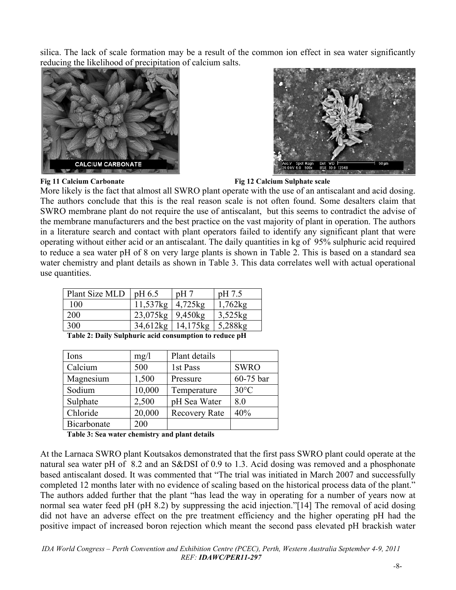silica. The lack of scale formation may be a result of the common ion effect in sea water significantly reducing the likelihood of precipitation of calcium salts.





**Fig 11 Calcium Carbonate Fig 12 Calcium Sulphate scale** 

More likely is the fact that almost all SWRO plant operate with the use of an antiscalant and acid dosing. The authors conclude that this is the real reason scale is not often found. Some desalters claim that SWRO membrane plant do not require the use of antiscalant, but this seems to contradict the advise of the membrane manufacturers and the best practice on the vast majority of plant in operation. The authors in a literature search and contact with plant operators failed to identify any significant plant that were operating without either acid or an antiscalant. The daily quantities in kg of 95% sulphuric acid required to reduce a sea water pH of 8 on very large plants is shown in Table 2. This is based on a standard sea water chemistry and plant details as shown in Table 3. This data correlates well with actual operational use quantities.

| Plant Size MLD | pH 6.5                | pH7      | pH 7.5     |  |  |
|----------------|-----------------------|----------|------------|--|--|
| 100            | 11,537kg              | 4,725kg  | 1,762kg    |  |  |
| <b>200</b>     | $23,075$ kg   9,450kg |          | $3,525$ kg |  |  |
| 300            | 34,612kg              | 14,175kg | 5,288kg    |  |  |
|                |                       |          |            |  |  |

**Table 2: Daily Sulphuric acid consumption to reduce pH** 

| Ions        | mg/1   | Plant details        |                |
|-------------|--------|----------------------|----------------|
| Calcium     | 500    | 1st Pass             | <b>SWRO</b>    |
| Magnesium   | 1,500  | Pressure             | 60-75 bar      |
| Sodium      | 10,000 | Temperature          | $30^{\circ}$ C |
| Sulphate    | 2,500  | pH Sea Water         | 8.0            |
| Chloride    | 20,000 | <b>Recovery Rate</b> | 40%            |
| Bicarbonate | 200    |                      |                |

**Table 3: Sea water chemistry and plant details** 

At the Larnaca SWRO plant Koutsakos demonstrated that the first pass SWRO plant could operate at the natural sea water pH of 8.2 and an S&DSI of 0.9 to 1.3. Acid dosing was removed and a phosphonate based antiscalant dosed. It was commented that "The trial was initiated in March 2007 and successfully completed 12 months later with no evidence of scaling based on the historical process data of the plant." The authors added further that the plant "has lead the way in operating for a number of years now at normal sea water feed pH (pH 8.2) by suppressing the acid injection."[14] The removal of acid dosing did not have an adverse effect on the pre treatment efficiency and the higher operating pH had the positive impact of increased boron rejection which meant the second pass elevated pH brackish water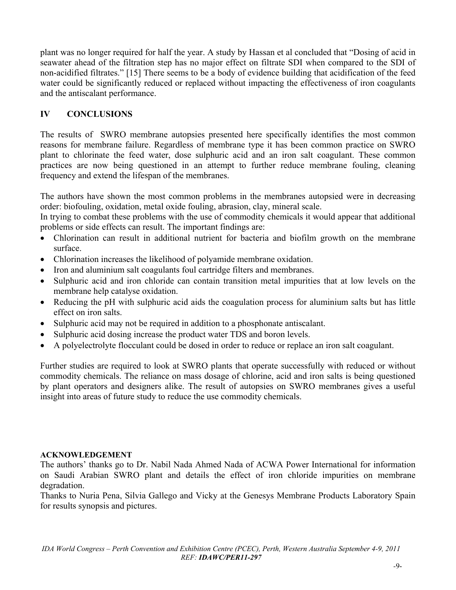plant was no longer required for half the year. A study by Hassan et al concluded that "Dosing of acid in seawater ahead of the filtration step has no major effect on filtrate SDI when compared to the SDI of non-acidified filtrates." [15] There seems to be a body of evidence building that acidification of the feed water could be significantly reduced or replaced without impacting the effectiveness of iron coagulants and the antiscalant performance.

# **IV CONCLUSIONS**

The results of SWRO membrane autopsies presented here specifically identifies the most common reasons for membrane failure. Regardless of membrane type it has been common practice on SWRO plant to chlorinate the feed water, dose sulphuric acid and an iron salt coagulant. These common practices are now being questioned in an attempt to further reduce membrane fouling, cleaning frequency and extend the lifespan of the membranes.

The authors have shown the most common problems in the membranes autopsied were in decreasing order: biofouling, oxidation, metal oxide fouling, abrasion, clay, mineral scale.

In trying to combat these problems with the use of commodity chemicals it would appear that additional problems or side effects can result. The important findings are:

- Chlorination can result in additional nutrient for bacteria and biofilm growth on the membrane surface.
- Chlorination increases the likelihood of polyamide membrane oxidation.
- Iron and aluminium salt coagulants foul cartridge filters and membranes.
- Sulphuric acid and iron chloride can contain transition metal impurities that at low levels on the membrane help catalyse oxidation.
- Reducing the pH with sulphuric acid aids the coagulation process for aluminium salts but has little effect on iron salts.
- Sulphuric acid may not be required in addition to a phosphonate antiscalant.
- Sulphuric acid dosing increase the product water TDS and boron levels.
- A polyelectrolyte flocculant could be dosed in order to reduce or replace an iron salt coagulant.

Further studies are required to look at SWRO plants that operate successfully with reduced or without commodity chemicals. The reliance on mass dosage of chlorine, acid and iron salts is being questioned by plant operators and designers alike. The result of autopsies on SWRO membranes gives a useful insight into areas of future study to reduce the use commodity chemicals.

### **ACKNOWLEDGEMENT**

The authors' thanks go to Dr. Nabil Nada Ahmed Nada of ACWA Power International for information on Saudi Arabian SWRO plant and details the effect of iron chloride impurities on membrane degradation.

Thanks to Nuria Pena, Silvia Gallego and Vicky at the Genesys Membrane Products Laboratory Spain for results synopsis and pictures.